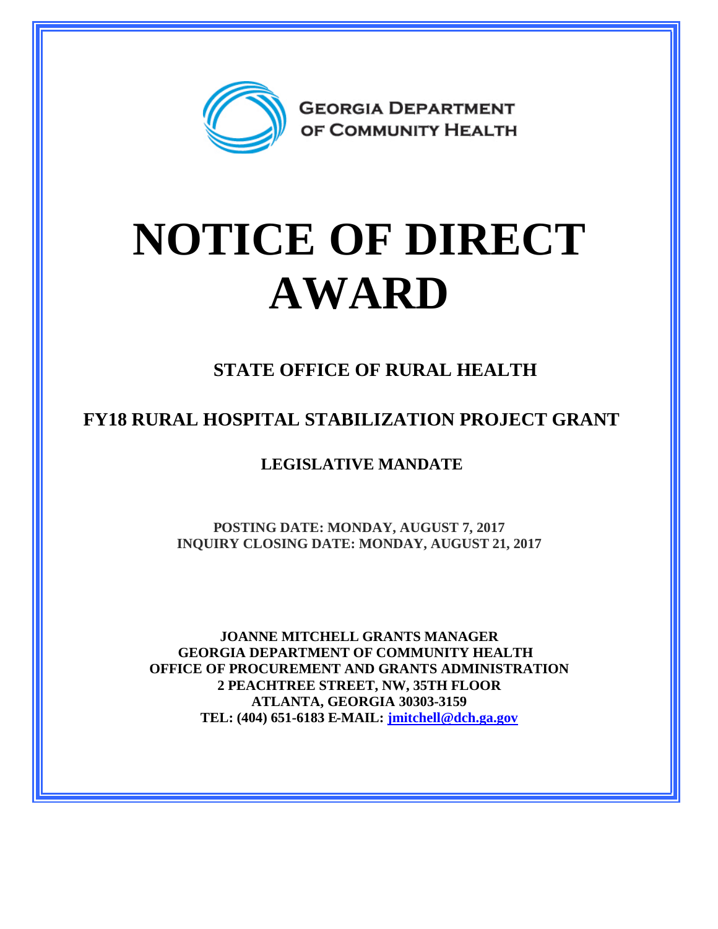

## **NOTICE OF DIRECT AWARD**

**STATE OFFICE OF RURAL HEALTH**

**FY18 RURAL HOSPITAL STABILIZATION PROJECT GRANT**

**LEGISLATIVE MANDATE**

**POSTING DATE: MONDAY, AUGUST 7, 2017 INQUIRY CLOSING DATE: MONDAY, AUGUST 21, 2017**

**JOANNE MITCHELL GRANTS MANAGER GEORGIA DEPARTMENT OF COMMUNITY HEALTH OFFICE OF PROCUREMENT AND GRANTS ADMINISTRATION 2 PEACHTREE STREET, NW, 35TH FLOOR ATLANTA, GEORGIA 30303-3159 TEL: (404) 651-6183 E-MAIL: [jmitchell@dch.ga.gov](mailto:jmitchell@dch.ga.gov)**